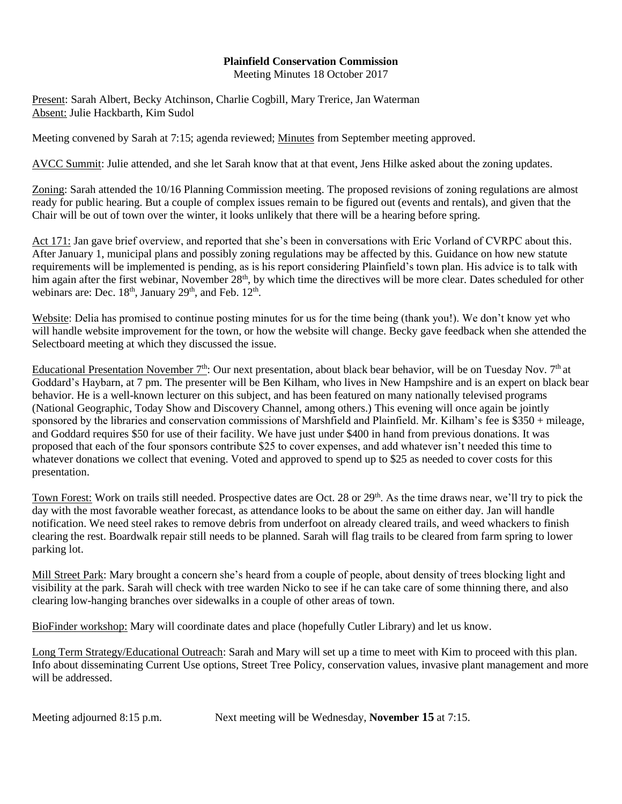## **Plainfield Conservation Commission**

Meeting Minutes 18 October 2017

Present: Sarah Albert, Becky Atchinson, Charlie Cogbill, Mary Trerice, Jan Waterman Absent: Julie Hackbarth, Kim Sudol

Meeting convened by Sarah at 7:15; agenda reviewed; Minutes from September meeting approved.

AVCC Summit: Julie attended, and she let Sarah know that at that event, Jens Hilke asked about the zoning updates.

Zoning: Sarah attended the 10/16 Planning Commission meeting. The proposed revisions of zoning regulations are almost ready for public hearing. But a couple of complex issues remain to be figured out (events and rentals), and given that the Chair will be out of town over the winter, it looks unlikely that there will be a hearing before spring.

Act 171: Jan gave brief overview, and reported that she's been in conversations with Eric Vorland of CVRPC about this. After January 1, municipal plans and possibly zoning regulations may be affected by this. Guidance on how new statute requirements will be implemented is pending, as is his report considering Plainfield's town plan. His advice is to talk with him again after the first webinar, November 28<sup>th</sup>, by which time the directives will be more clear. Dates scheduled for other webinars are: Dec.  $18<sup>th</sup>$ , January  $29<sup>th</sup>$ , and Feb.  $12<sup>th</sup>$ .

Website: Delia has promised to continue posting minutes for us for the time being (thank you!). We don't know yet who will handle website improvement for the town, or how the website will change. Becky gave feedback when she attended the Selectboard meeting at which they discussed the issue.

Educational Presentation November 7<sup>th</sup>: Our next presentation, about black bear behavior, will be on Tuesday Nov. 7<sup>th</sup> at Goddard's Haybarn, at 7 pm. The presenter will be Ben Kilham, who lives in New Hampshire and is an expert on black bear behavior. He is a well-known lecturer on this subject, and has been featured on many nationally televised programs (National Geographic, Today Show and Discovery Channel, among others.) This evening will once again be jointly sponsored by the libraries and conservation commissions of Marshfield and Plainfield. Mr. Kilham's fee is \$350 + mileage, and Goddard requires \$50 for use of their facility. We have just under \$400 in hand from previous donations. It was proposed that each of the four sponsors contribute \$25 to cover expenses, and add whatever isn't needed this time to whatever donations we collect that evening. Voted and approved to spend up to \$25 as needed to cover costs for this presentation.

Town Forest: Work on trails still needed. Prospective dates are Oct. 28 or 29<sup>th</sup>. As the time draws near, we'll try to pick the day with the most favorable weather forecast, as attendance looks to be about the same on either day. Jan will handle notification. We need steel rakes to remove debris from underfoot on already cleared trails, and weed whackers to finish clearing the rest. Boardwalk repair still needs to be planned. Sarah will flag trails to be cleared from farm spring to lower parking lot.

Mill Street Park: Mary brought a concern she's heard from a couple of people, about density of trees blocking light and visibility at the park. Sarah will check with tree warden Nicko to see if he can take care of some thinning there, and also clearing low-hanging branches over sidewalks in a couple of other areas of town.

BioFinder workshop: Mary will coordinate dates and place (hopefully Cutler Library) and let us know.

Long Term Strategy/Educational Outreach: Sarah and Mary will set up a time to meet with Kim to proceed with this plan. Info about disseminating Current Use options, Street Tree Policy, conservation values, invasive plant management and more will be addressed.